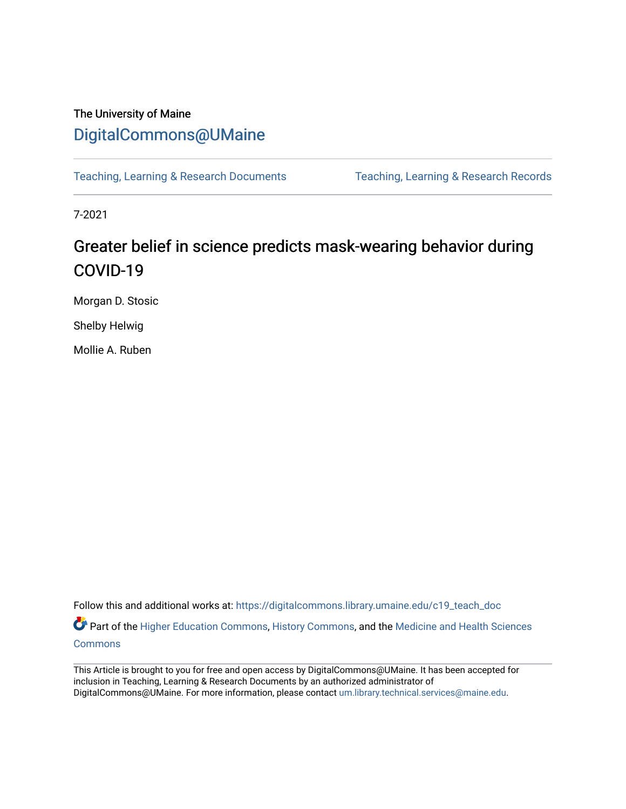## The University of Maine [DigitalCommons@UMaine](https://digitalcommons.library.umaine.edu/)

[Teaching, Learning & Research Documents](https://digitalcommons.library.umaine.edu/c19_teach_doc) [Teaching, Learning & Research Records](https://digitalcommons.library.umaine.edu/c19_teach) 

7-2021

# Greater belief in science predicts mask-wearing behavior during COVID-19

Morgan D. Stosic

Shelby Helwig

Mollie A. Ruben

Follow this and additional works at: [https://digitalcommons.library.umaine.edu/c19\\_teach\\_doc](https://digitalcommons.library.umaine.edu/c19_teach_doc?utm_source=digitalcommons.library.umaine.edu%2Fc19_teach_doc%2F71&utm_medium=PDF&utm_campaign=PDFCoverPages)

Part of the [Higher Education Commons,](http://network.bepress.com/hgg/discipline/1245?utm_source=digitalcommons.library.umaine.edu%2Fc19_teach_doc%2F71&utm_medium=PDF&utm_campaign=PDFCoverPages) [History Commons,](http://network.bepress.com/hgg/discipline/489?utm_source=digitalcommons.library.umaine.edu%2Fc19_teach_doc%2F71&utm_medium=PDF&utm_campaign=PDFCoverPages) and the Medicine and Health Sciences **[Commons](http://network.bepress.com/hgg/discipline/648?utm_source=digitalcommons.library.umaine.edu%2Fc19_teach_doc%2F71&utm_medium=PDF&utm_campaign=PDFCoverPages)** 

This Article is brought to you for free and open access by DigitalCommons@UMaine. It has been accepted for inclusion in Teaching, Learning & Research Documents by an authorized administrator of DigitalCommons@UMaine. For more information, please contact [um.library.technical.services@maine.edu](mailto:um.library.technical.services@maine.edu).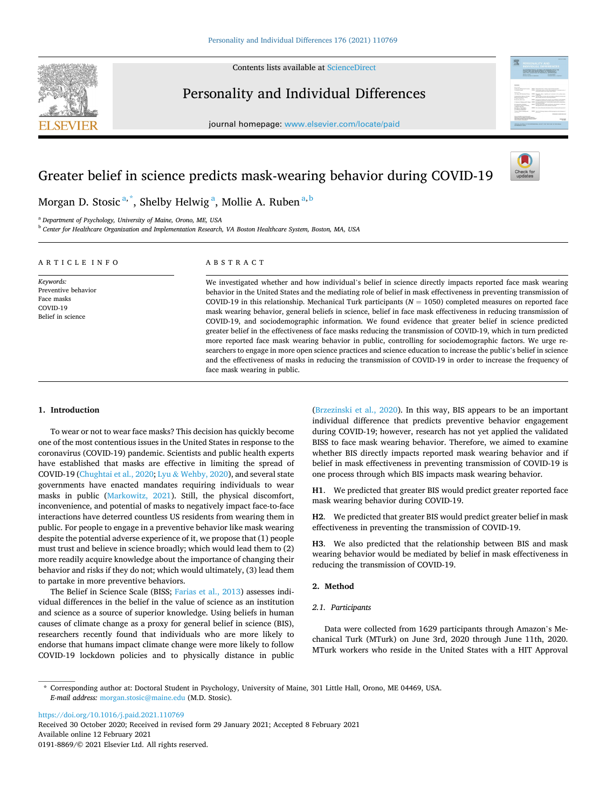

Contents lists available at [ScienceDirect](www.sciencedirect.com/science/journal/01918869)

Personality and Individual Differences

journal homepage: [www.elsevier.com/locate/paid](https://www.elsevier.com/locate/paid)



### Greater belief in science predicts mask-wearing behavior during COVID-19



Morgan D. Stosic <sup>a, \*</sup>, Shelby Helwig <sup>a</sup>, Mollie A. Ruben <sup>a, b</sup>

<sup>a</sup> *Department of Psychology, University of Maine, Orono, ME, USA* 

<sup>b</sup> *Center for Healthcare Organization and Implementation Research, VA Boston Healthcare System, Boston, MA, USA* 

#### ARTICLE INFO

*Keywords:*  Preventive behavior Face masks COVID-19 Belief in science

#### ABSTRACT

We investigated whether and how individual's belief in science directly impacts reported face mask wearing behavior in the United States and the mediating role of belief in mask effectiveness in preventing transmission of COVID-19 in this relationship. Mechanical Turk participants  $(N = 1050)$  completed measures on reported face mask wearing behavior, general beliefs in science, belief in face mask effectiveness in reducing transmission of COVID-19, and sociodemographic information. We found evidence that greater belief in science predicted greater belief in the effectiveness of face masks reducing the transmission of COVID-19, which in turn predicted more reported face mask wearing behavior in public, controlling for sociodemographic factors. We urge researchers to engage in more open science practices and science education to increase the public's belief in science and the effectiveness of masks in reducing the transmission of COVID-19 in order to increase the frequency of face mask wearing in public.

#### **1. Introduction**

To wear or not to wear face masks? This decision has quickly become one of the most contentious issues in the United States in response to the coronavirus (COVID-19) pandemic. Scientists and public health experts have established that masks are effective in limiting the spread of COVID-19 [\(Chughtai et al., 2020;](#page-3-0) Lyu & [Wehby, 2020\)](#page-3-0), and several state governments have enacted mandates requiring individuals to wear masks in public [\(Markowitz, 2021](#page-3-0)). Still, the physical discomfort, inconvenience, and potential of masks to negatively impact face-to-face interactions have deterred countless US residents from wearing them in public. For people to engage in a preventive behavior like mask wearing despite the potential adverse experience of it, we propose that (1) people must trust and believe in science broadly; which would lead them to (2) more readily acquire knowledge about the importance of changing their behavior and risks if they do not; which would ultimately, (3) lead them to partake in more preventive behaviors.

The Belief in Science Scale (BISS; [Farias et al., 2013](#page-3-0)) assesses individual differences in the belief in the value of science as an institution and science as a source of superior knowledge. Using beliefs in human causes of climate change as a proxy for general belief in science (BIS), researchers recently found that individuals who are more likely to endorse that humans impact climate change were more likely to follow COVID-19 lockdown policies and to physically distance in public

([Brzezinski et al., 2020](#page-3-0)). In this way, BIS appears to be an important individual difference that predicts preventive behavior engagement during COVID-19; however, research has not yet applied the validated BISS to face mask wearing behavior. Therefore, we aimed to examine whether BIS directly impacts reported mask wearing behavior and if belief in mask effectiveness in preventing transmission of COVID-19 is one process through which BIS impacts mask wearing behavior.

**H1**. We predicted that greater BIS would predict greater reported face mask wearing behavior during COVID-19.

**H2**. We predicted that greater BIS would predict greater belief in mask effectiveness in preventing the transmission of COVID-19.

**H3**. We also predicted that the relationship between BIS and mask wearing behavior would be mediated by belief in mask effectiveness in reducing the transmission of COVID-19.

#### **2. Method**

#### *2.1. Participants*

Data were collected from 1629 participants through Amazon's Mechanical Turk (MTurk) on June 3rd, 2020 through June 11th, 2020. MTurk workers who reside in the United States with a HIT Approval

\* Corresponding author at: Doctoral Student in Psychology, University of Maine, 301 Little Hall, Orono, ME 04469, USA. *E-mail address:* [morgan.stosic@maine.edu](mailto:morgan.stosic@maine.edu) (M.D. Stosic).

<https://doi.org/10.1016/j.paid.2021.110769>

Available online 12 February 2021 0191-8869/© 2021 Elsevier Ltd. All rights reserved. Received 30 October 2020; Received in revised form 29 January 2021; Accepted 8 February 2021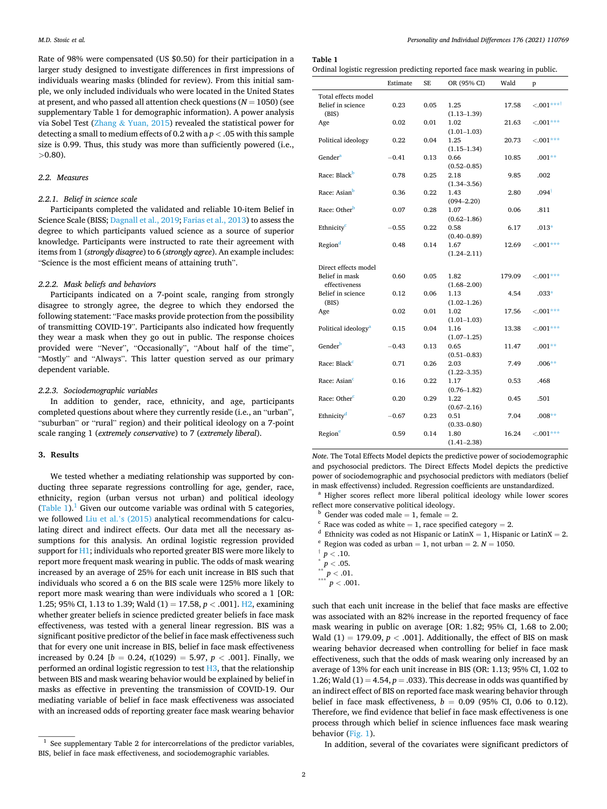<span id="page-2-0"></span>Rate of 98% were compensated (US \$0.50) for their participation in a larger study designed to investigate differences in first impressions of individuals wearing masks (blinded for review). From this initial sample, we only included individuals who were located in the United States at present, and who passed all attention check questions (*N* = 1050) (see supplementary Table 1 for demographic information). A power analysis via Sobel Test (Zhang & [Yuan, 2015](#page-3-0)) revealed the statistical power for detecting a small to medium effects of 0.2 with a *p <* .05 with this sample size is 0.99. Thus, this study was more than sufficiently powered (i.e., *>*0.80).

#### *2.2. Measures*

#### *2.2.1. Belief in science scale*

Participants completed the validated and reliable 10-item Belief in Science Scale (BISS; [Dagnall et al., 2019; Farias et al., 2013\)](#page-3-0) to assess the degree to which participants valued science as a source of superior knowledge. Participants were instructed to rate their agreement with items from 1 (*strongly disagree*) to 6 (*strongly agree*). An example includes: "Science is the most efficient means of attaining truth".

#### *2.2.2. Mask beliefs and behaviors*

Participants indicated on a 7-point scale, ranging from strongly disagree to strongly agree, the degree to which they endorsed the following statement: "Face masks provide protection from the possibility of transmitting COVID-19". Participants also indicated how frequently they wear a mask when they go out in public. The response choices provided were "Never", "Occasionally", "About half of the time", "Mostly" and "Always". This latter question served as our primary dependent variable.

#### *2.2.3. Sociodemographic variables*

In addition to gender, race, ethnicity, and age, participants completed questions about where they currently reside (i.e., an "urban", "suburban" or "rural" region) and their political ideology on a 7-point scale ranging 1 (*extremely conservative*) to 7 (*extremely liberal*).

#### **3. Results**

We tested whether a mediating relationship was supported by conducting three separate regressions controlling for age, gender, race, ethnicity, region (urban versus not urban) and political ideology (Table 1).<sup>1</sup> Given our outcome variable was ordinal with 5 categories, we followed [Liu et al.](#page-3-0)'s (2015) analytical recommendations for calculating direct and indirect effects. Our data met all the necessary assumptions for this analysis. An ordinal logistic regression provided support for H1; individuals who reported greater BIS were more likely to report more frequent mask wearing in public. The odds of mask wearing increased by an average of 25% for each unit increase in BIS such that individuals who scored a 6 on the BIS scale were 125% more likely to report more mask wearing than were individuals who scored a 1 [OR: 1.25; 95% CI, 1.13 to 1.39; Wald (1) = 17.58, *p <* .001]. H2, examining whether greater beliefs in science predicted greater beliefs in face mask effectiveness, was tested with a general linear regression. BIS was a significant positive predictor of the belief in face mask effectiveness such that for every one unit increase in BIS, belief in face mask effectiveness increased by 0.24  $[b = 0.24, t(1029) = 5.97, p < .001]$ . Finally, we performed an ordinal logistic regression to test  $H3$ , that the relationship between BIS and mask wearing behavior would be explained by belief in masks as effective in preventing the transmission of COVID-19. Our mediating variable of belief in face mask effectiveness was associated with an increased odds of reporting greater face mask wearing behavior

**Table 1** 

Ordinal logistic regression predicting reported face mask wearing in public.

|                                 | Estimate | <b>SE</b> | OR (95% CI)     | Wald   | p                      |
|---------------------------------|----------|-----------|-----------------|--------|------------------------|
| Total effects model             |          |           |                 |        |                        |
| Belief in science               | 0.23     | 0.05      | 1.25            | 17.58  | ${<}.001***^{\dagger}$ |
| (BIS)                           |          |           | $(1.13 - 1.39)$ |        |                        |
| Age                             | 0.02     | 0.01      | 1.02            | 21.63  | $-.001***$             |
|                                 |          |           | $(1.01 - 1.03)$ |        |                        |
| Political ideology              | 0.22     | 0.04      | 1.25            | 20.73  | $< .001***$            |
|                                 |          |           | $(1.15 - 1.34)$ |        |                        |
| Gender <sup>a</sup>             | $-0.41$  | 0.13      | 0.66            | 10.85  | $.001**$               |
|                                 |          |           | $(0.52 - 0.85)$ |        |                        |
| Race: Black <sup>b</sup>        | 0.78     | 0.25      | 2.18            | 9.85   | .002                   |
|                                 |          |           | $(1.34 - 3.56)$ |        |                        |
| Race: Asian <sup>b</sup>        | 0.36     | 0.22      | 1.43            | 2.80   | $.094^{\dagger}$       |
|                                 |          |           | $(094 - 2.20)$  |        |                        |
| Race: Other <sup>b</sup>        | 0.07     | 0.28      | 1.07            | 0.06   | .811                   |
|                                 |          |           | $(0.62 - 1.86)$ |        |                        |
| Ethnicity <sup>c</sup>          | $-0.55$  | 0.22      | 0.58            | 6.17   | $.013*$                |
|                                 |          |           | $(0.40 - 0.89)$ |        |                        |
| Region <sup>d</sup>             | 0.48     | 0.14      | 1.67            | 12.69  | $< .001***$            |
|                                 |          |           | $(1.24 - 2.11)$ |        |                        |
| Direct effects model            |          |           |                 |        |                        |
| Belief in mask                  | 0.60     | 0.05      | 1.82            | 179.09 | $< .001***$            |
| effectiveness                   |          |           | $(1.68 - 2.00)$ |        |                        |
| Belief in science               | 0.12     | 0.06      | 1.13            | 4.54   | $.033*$                |
| (BIS)                           |          |           | $(1.02 - 1.26)$ |        |                        |
| Age                             | 0.02     | 0.01      | 1.02            | 17.56  | $< .001***$            |
|                                 |          |           | $(1.01 - 1.03)$ |        |                        |
| Political ideology <sup>a</sup> | 0.15     | 0.04      | 1.16            | 13.38  | $< 0.01***$            |
|                                 |          |           | $(1.07-1.25)$   |        |                        |
| Gender <sup>b</sup>             | $-0.43$  | 0.13      | 0.65            | 11.47  | $.001**$               |
|                                 |          |           | $(0.51 - 0.83)$ |        |                        |
| Race: Black <sup>e</sup>        | 0.71     | 0.26      | 2.03            | 7.49   | $.006**$               |
|                                 |          |           | $(1.22 - 3.35)$ |        |                        |
| Race: Asian <sup>c</sup>        | 0.16     | 0.22      | 1.17            | 0.53   | .468                   |
|                                 |          |           | $(0.76 - 1.82)$ |        |                        |
| Race: Other <sup>c</sup>        | 0.20     | 0.29      | 1.22            | 0.45   | .501                   |
|                                 |          |           | $(0.67 - 2.16)$ |        |                        |
| Ethnicity <sup>d</sup>          | $-0.67$  | 0.23      | 0.51            | 7.04   | $.008**$               |
|                                 |          |           | $(0.33 - 0.80)$ |        |                        |
| Region <sup>e</sup>             | 0.59     | 0.14      | 1.80            | 16.24  | $< .001***$            |
|                                 |          |           | $(1.41 - 2.38)$ |        |                        |

*Note*. The Total Effects Model depicts the predictive power of sociodemographic and psychosocial predictors. The Direct Effects Model depicts the predictive power of sociodemographic and psychosocial predictors with mediators (belief in mask effectivenss) included. Regression coefficients are unstandardized.

<sup>a</sup> Higher scores reflect more liberal political ideology while lower scores reflect more conservative political ideology.<br>
<sup>b</sup> Gender was coded male = 1, female = 2.<br>
<sup>c</sup> Race was coded as white = 1, race specified category = 2.<br>
<sup>d</sup> Ethnicity was coded as not Hispanic or LatinX = 1, Hispanic or

- 
- 
- 
- 
- 
- 
- $\sum_{n=1}^{n} p < .05.$ <br> $p < .01.$ <br> $p < .001.$

such that each unit increase in the belief that face masks are effective was associated with an 82% increase in the reported frequency of face mask wearing in public on average [OR: 1.82; 95% CI, 1.68 to 2.00; Wald  $(1) = 179.09$ ,  $p < .001$ ]. Additionally, the effect of BIS on mask wearing behavior decreased when controlling for belief in face mask effectiveness, such that the odds of mask wearing only increased by an average of 13% for each unit increase in BIS (OR: 1.13; 95% CI, 1.02 to 1.26; Wald  $(1) = 4.54$ ,  $p = .033$ ). This decrease in odds was quantified by an indirect effect of BIS on reported face mask wearing behavior through belief in face mask effectiveness,  $b = 0.09$  (95% CI, 0.06 to 0.12). Therefore, we find evidence that belief in face mask effectiveness is one process through which belief in science influences face mask wearing behavior [\(Fig. 1](#page-3-0)).

In addition, several of the covariates were significant predictors of

 $1$  See supplementary Table 2 for intercorrelations of the predictor variables, BIS, belief in face mask effectiveness, and sociodemographic variables.